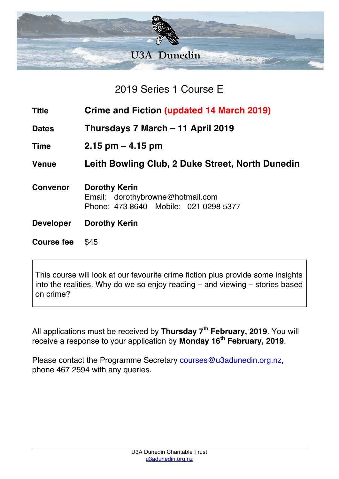

2019 Series 1 Course E

- **Title Crime and Fiction (updated 14 March 2019)**
- **Dates Thursdays 7 March – 11 April 2019**
- **Time 2.15 pm – 4.15 pm**

**Venue Leith Bowling Club, 2 Duke Street, North Dunedin**

- **Convenor Dorothy Kerin** Email: dorothybrowne@hotmail.com Phone: 473 8640 Mobile: 021 0298 5377
- **Developer Dorothy Kerin**
- **Course fee** \$45

This course will look at our favourite crime fiction plus provide some insights into the realities. Why do we so enjoy reading – and viewing – stories based on crime?

All applications must be received by **Thursday 7th February, 2019**. You will receive a response to your application by **Monday 16th February, 2019**.

Please contact the Programme Secretary courses@u3adunedin.org.nz, phone 467 2594 with any queries.